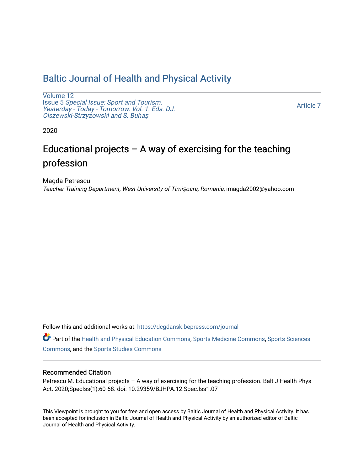## [Baltic Journal of Health and Physical Activity](https://dcgdansk.bepress.com/journal)

[Volume 12](https://dcgdansk.bepress.com/journal/vol12) Issue 5 [Special Issue: Sport and Tourism.](https://dcgdansk.bepress.com/journal/vol12/iss5)  [Yesterday - Today - Tomorrow. Vol. 1. Eds. DJ.](https://dcgdansk.bepress.com/journal/vol12/iss5)  [Olszewski-Strzy](https://dcgdansk.bepress.com/journal/vol12/iss5)żowski and S. Buhaş

[Article 7](https://dcgdansk.bepress.com/journal/vol12/iss5/7) 

2020

# Educational projects – A way of exercising for the teaching profession

Magda Petrescu Teacher Training Department, West University of Timișoara, Romania, imagda2002@yahoo.com

Follow this and additional works at: [https://dcgdansk.bepress.com/journal](https://dcgdansk.bepress.com/journal?utm_source=dcgdansk.bepress.com%2Fjournal%2Fvol12%2Fiss5%2F7&utm_medium=PDF&utm_campaign=PDFCoverPages)

Part of the [Health and Physical Education Commons](http://network.bepress.com/hgg/discipline/1327?utm_source=dcgdansk.bepress.com%2Fjournal%2Fvol12%2Fiss5%2F7&utm_medium=PDF&utm_campaign=PDFCoverPages), [Sports Medicine Commons,](http://network.bepress.com/hgg/discipline/1331?utm_source=dcgdansk.bepress.com%2Fjournal%2Fvol12%2Fiss5%2F7&utm_medium=PDF&utm_campaign=PDFCoverPages) [Sports Sciences](http://network.bepress.com/hgg/discipline/759?utm_source=dcgdansk.bepress.com%2Fjournal%2Fvol12%2Fiss5%2F7&utm_medium=PDF&utm_campaign=PDFCoverPages) [Commons](http://network.bepress.com/hgg/discipline/759?utm_source=dcgdansk.bepress.com%2Fjournal%2Fvol12%2Fiss5%2F7&utm_medium=PDF&utm_campaign=PDFCoverPages), and the [Sports Studies Commons](http://network.bepress.com/hgg/discipline/1198?utm_source=dcgdansk.bepress.com%2Fjournal%2Fvol12%2Fiss5%2F7&utm_medium=PDF&utm_campaign=PDFCoverPages) 

#### Recommended Citation

Petrescu M. Educational projects – A way of exercising for the teaching profession. Balt J Health Phys Act. 2020;SpecIss(1):60-68. doi: 10.29359/BJHPA.12.Spec.Iss1.07

This Viewpoint is brought to you for free and open access by Baltic Journal of Health and Physical Activity. It has been accepted for inclusion in Baltic Journal of Health and Physical Activity by an authorized editor of Baltic Journal of Health and Physical Activity.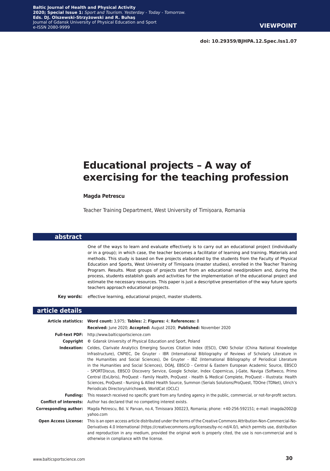**doi: 10.29359/BJHPA.12.Spec.Iss1.07**

# **Educational projects – A way of exercising for the teaching profession**

#### **Magda Petrescu**

Teacher Training Department, West University of Timișoara, Romania

#### **abstract**

One of the ways to learn and evaluate effectively is to carry out an educational project (individually or in a group); in which case, the teacher becomes a facilitator of learning and training. Materials and methods. This study is based on five projects elaborated by the students from the Faculty of Physical Education and Sports, West University of Timișoara (master studies), enrolled in the Teacher Training Program. Results. Most groups of projects start from an educational need/problem and, during the process, students establish goals and activities for the implementation of the educational project and estimate the necessary resources. This paper is just a descriptive presentation of the way future sports teachers approach educational projects.

**Key words:** effective learning, educational project, master students.

#### **article details**

|                              | Article statistics: Word count: 3,975; Tables: 2; Figures: 4; References: 8                                                                                                                                                                                                                                                                                                                                                                                                                                                                                                                                                                                                                                                                                                                                                                                   |
|------------------------------|---------------------------------------------------------------------------------------------------------------------------------------------------------------------------------------------------------------------------------------------------------------------------------------------------------------------------------------------------------------------------------------------------------------------------------------------------------------------------------------------------------------------------------------------------------------------------------------------------------------------------------------------------------------------------------------------------------------------------------------------------------------------------------------------------------------------------------------------------------------|
|                              | Received: June 2020; Accepted: August 2020; Published: November 2020                                                                                                                                                                                                                                                                                                                                                                                                                                                                                                                                                                                                                                                                                                                                                                                          |
| <b>Full-text PDF:</b>        | http://www.balticsportscience.com                                                                                                                                                                                                                                                                                                                                                                                                                                                                                                                                                                                                                                                                                                                                                                                                                             |
|                              | <b>Copyright</b> © Gdansk University of Physical Education and Sport, Poland                                                                                                                                                                                                                                                                                                                                                                                                                                                                                                                                                                                                                                                                                                                                                                                  |
| Indexation:                  | Celdes, Clarivate Analytics Emerging Sources Citation Index (ESCI), CNKI Scholar (China National Knowledge<br>Infrastructure), CNPIEC, De Gruyter - IBR (International Bibliography of Reviews of Scholarly Literature in<br>the Humanities and Social Sciences), De Gruyter - IBZ (International Bibliography of Periodical Literature<br>in the Humanities and Social Sciences), DOAJ, EBSCO - Central & Eastern European Academic Source, EBSCO<br>- SPORTDiscus, EBSCO Discovery Service, Google Scholar, Index Copernicus, J-Gate, Naviga (Softweco, Primo<br>Central (ExLibris), ProQuest - Family Health, ProQuest - Health & Medical Complete, ProQuest - Illustrata: Health<br>Sciences, ProQuest - Nursing & Allied Health Source, Summon (Serials Solutions/ProQuest, TDOne (TDNet), Ulrich's<br>Periodicals Directory/ulrichsweb, WorldCat (OCLC) |
| <b>Funding:</b>              | This research received no specific grant from any funding agency in the public, commercial, or not-for-profit sectors.                                                                                                                                                                                                                                                                                                                                                                                                                                                                                                                                                                                                                                                                                                                                        |
|                              | <b>Conflict of interests:</b> Author has declared that no competing interest exists.                                                                                                                                                                                                                                                                                                                                                                                                                                                                                                                                                                                                                                                                                                                                                                          |
| <b>Corresponding author:</b> | Magda Petrescu, Bd. V. Parvan, no.4, Timisoara 300223, Romania; phone: +40-256-592151; e-mail: imagda2002@<br>yahoo.com                                                                                                                                                                                                                                                                                                                                                                                                                                                                                                                                                                                                                                                                                                                                       |
| <b>Open Access License:</b>  | This is an open access article distributed under the terms of the Creative Commons Attribution-Non-Commercial-No-<br>Derivatives 4.0 International (https://creativecommons.org/licenses/by-nc-nd/4.0/), which permits use, distribution<br>and reproduction in any medium, provided the original work is properly cited, the use is non-commercial and is<br>otherwise in compliance with the license.                                                                                                                                                                                                                                                                                                                                                                                                                                                       |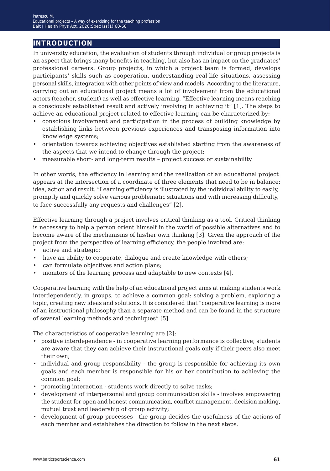## **introduction**

In university education, the evaluation of students through individual or group projects is an aspect that brings many benefits in teaching, but also has an impact on the graduates' professional careers. Group projects, in which a project team is formed, develops participants' skills such as cooperation, understanding real-life situations, assessing personal skills, integration with other points of view and models. According to the literature, carrying out an educational project means a lot of involvement from the educational actors (teacher, student) as well as effective learning. "Effective learning means reaching a consciously established result and actively involving in achieving it" [1]. The steps to achieve an educational project related to effective learning can be characterized by:

- conscious involvement and participation in the process of building knowledge by establishing links between previous experiences and transposing information into knowledge systems;
- orientation towards achieving objectives established starting from the awareness of the aspects that we intend to change through the project;
- measurable short- and long-term results project success or sustainability.

In other words, the efficiency in learning and the realization of an educational project appears at the intersection of a coordinate of three elements that need to be in balance: idea, action and result. "Learning efficiency is illustrated by the individual ability to easily, promptly and quickly solve various problematic situations and with increasing difficulty, to face successfully any requests and challenges" [2].

Effective learning through a project involves critical thinking as a tool. Critical thinking is necessary to help a person orient himself in the world of possible alternatives and to become aware of the mechanisms of his/her own thinking [3]. Given the approach of the project from the perspective of learning efficiency, the people involved are:

- active and strategic;
- have an ability to cooperate, dialogue and create knowledge with others;
- can formulate objectives and action plans;
- monitors of the learning process and adaptable to new contexts [4].

Cooperative learning with the help of an educational project aims at making students work interdependently, in groups, to achieve a common goal: solving a problem, exploring a topic, creating new ideas and solutions. It is considered that "cooperative learning is more of an instructional philosophy than a separate method and can be found in the structure of several learning methods and techniques" [5].

The characteristics of cooperative learning are [2]:

- positive interdependence in cooperative learning performance is collective; students are aware that they can achieve their instructional goals only if their peers also meet their own;
- individual and group responsibility the group is responsible for achieving its own goals and each member is responsible for his or her contribution to achieving the common goal;
- promoting interaction students work directly to solve tasks;
- development of interpersonal and group communication skills involves empowering the student for open and honest communication, conflict management, decision making, mutual trust and leadership of group activity;
- development of group processes the group decides the usefulness of the actions of each member and establishes the direction to follow in the next steps.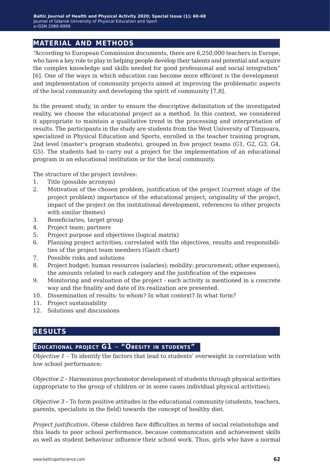### **material and methods**

"According to European Commission documents, there are 6,250,000 teachers in Europe, who have a key role to play in helping people develop their talents and potential and acquire the complex knowledge and skills needed for good professional and social integration" [6]. One of the ways in which education can become more efficient is the development and implementation of community projects aimed at improving the problematic aspects of the local community and developing the spirit of community [7,8].

In the present study, in order to ensure the descriptive delimitation of the investigated reality, we choose the educational project as a method. In this context, we considered it appropriate to maintain a qualitative trend in the processing and interpretation of results. The participants in the study are students from the West University of Timișoara, specialized in Physical Education and Sports, enrolled in the teacher training program, 2nd level (master's program students), grouped in five project teams (G1, G2, G3, G4, G5). The students had to carry out a project for the implementation of an educational program in an educational institution or for the local community.

The structure of the project involves:

- 1. Title (possible acronym)
- 2. Motivation of the chosen problem, justification of the project (current stage of the project problem) importance of the educational project, originality of the project, impact of the project on the institutional development, references to other projects with similar themes)
- 3. Beneficiaries, target group
- 4. Project team; partners
- 5. Project purpose and objectives (logical matrix)
- 6. Planning project activities, correlated with the objectives, results and responsibilities of the project team members (Gantt chart)
- 7. Possible risks and solutions
- 8. Project budget: human resources (salaries); mobility; procurement; other expenses), the amounts related to each category and the justification of the expenses
- 9. Monitoring and evaluation of the project each activity is mentioned in a concrete way and the finality and date of its realization are presented.
- 10. Dissemination of results: to whom? In what context? In what form?
- 11. Project sustainability
- 12. Solutions and discussions

#### **results**

### **Educational project G1** *−* **"Obesity in students"**

*Objective 1 −* To identify the factors that lead to students' overweight in correlation with low school performance;

*Objective 2 −* Harmonious psychomotor development of students through physical activities (appropriate to the group of children or in some cases individual physical activities);

*Objective 3* − To form positive attitudes in the educational community (students, teachers, parents, specialists in the field) towards the concept of healthy diet.

*Project justification.* Obese children face difficulties in terms of social relationships and this leads to poor school performance, because communication and achievement skills as well as student behaviour influence their school work. Thus, girls who have a normal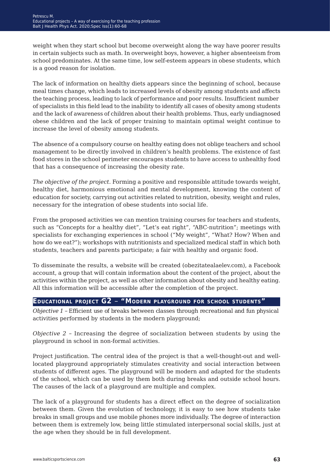weight when they start school but become overweight along the way have poorer results in certain subjects such as math. In overweight boys, however, a higher absenteeism from school predominates. At the same time, low self-esteem appears in obese students, which is a good reason for isolation.

The lack of information on healthy diets appears since the beginning of school, because meal times change, which leads to increased levels of obesity among students and affects the teaching process, leading to lack of performance and poor results. Insufficient number of specialists in this field lead to the inability to identify all cases of obesity among students and the lack of awareness of children about their health problems. Thus, early undiagnosed obese children and the lack of proper training to maintain optimal weight continue to increase the level of obesity among students.

The absence of a compulsory course on healthy eating does not oblige teachers and school management to be directly involved in children's health problems. The existence of fast food stores in the school perimeter encourages students to have access to unhealthy food that has a consequence of increasing the obesity rate.

*The objective of the project.* Forming a positive and responsible attitude towards weight, healthy diet, harmonious emotional and mental development, knowing the content of education for society, carrying out activities related to nutrition, obesity, weight and rules, necessary for the integration of obese students into social life.

From the proposed activities we can mention training courses for teachers and students, such as "Concepts for a healthy diet", "Let's eat right", "ABC-nutrition"; meetings with specialists for exchanging experiences in school ("My weight", "What? How? When and how do we eat?"); workshops with nutritionists and specialized medical staff in which both students, teachers and parents participate; a fair with healthy and organic food.

To disseminate the results, a website will be created (obezitatealaelev.com), a Facebook account, a group that will contain information about the content of the project, about the activities within the project, as well as other information about obesity and healthy eating. All this information will be accessible after the completion of the project.

#### **Educational project G2** *−* **"Modern playground for school students"**

*Objective 1* − Efficient use of breaks between classes through recreational and fun physical activities performed by students in the modern playground;

*Objective 2 −* Increasing the degree of socialization between students by using the playground in school in non-formal activities.

Project justification. The central idea of the project is that a well-thought-out and welllocated playground appropriately stimulates creativity and social interaction between students of different ages. The playground will be modern and adapted for the students of the school, which can be used by them both during breaks and outside school hours. The causes of the lack of a playground are multiple and complex.

The lack of a playground for students has a direct effect on the degree of socialization between them. Given the evolution of technology, it is easy to see how students take breaks in small groups and use mobile phones more individually. The degree of interaction between them is extremely low, being little stimulated interpersonal social skills, just at the age when they should be in full development.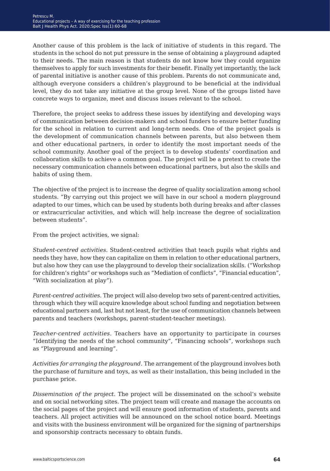Another cause of this problem is the lack of initiative of students in this regard. The students in the school do not put pressure in the sense of obtaining a playground adapted to their needs. The main reason is that students do not know how they could organize themselves to apply for such investments for their benefit. Finally yet importantly, the lack of parental initiative is another cause of this problem. Parents do not communicate and, although everyone considers a children's playground to be beneficial at the individual level, they do not take any initiative at the group level. None of the groups listed have concrete ways to organize, meet and discuss issues relevant to the school.

Therefore, the project seeks to address these issues by identifying and developing ways of communication between decision-makers and school funders to ensure better funding for the school in relation to current and long-term needs. One of the project goals is the development of communication channels between parents, but also between them and other educational partners, in order to identify the most important needs of the school community. Another goal of the project is to develop students' coordination and collaboration skills to achieve a common goal. The project will be a pretext to create the necessary communication channels between educational partners, but also the skills and habits of using them.

The objective of the project is to increase the degree of quality socialization among school students. "By carrying out this project we will have in our school a modern playground adapted to our times, which can be used by students both during breaks and after classes or extracurricular activities, and which will help increase the degree of socialization between students".

From the project activities, we signal:

*Student-centred activities.* Student-centred activities that teach pupils what rights and needs they have, how they can capitalize on them in relation to other educational partners, but also how they can use the playground to develop their socialization skills. ("Workshop for children's rights" or workshops such as "Mediation of conflicts", "Financial education", "With socialization at play").

*Parent-centred activities.* The project will also develop two sets of parent-centred activities, through which they will acquire knowledge about school funding and negotiation between educational partners and, last but not least, for the use of communication channels between parents and teachers (workshops, parent-student-teacher meetings).

*Teacher-centred activities.* Teachers have an opportunity to participate in courses "Identifying the needs of the school community", "Financing schools", workshops such as "Playground and learning".

*Activities for arranging the playground.* The arrangement of the playground involves both the purchase of furniture and toys, as well as their installation, this being included in the purchase price.

*Dissemination of the project.* The project will be disseminated on the school's website and on social networking sites. The project team will create and manage the accounts on the social pages of the project and will ensure good information of students, parents and teachers. All project activities will be announced on the school notice board. Meetings and visits with the business environment will be organized for the signing of partnerships and sponsorship contracts necessary to obtain funds.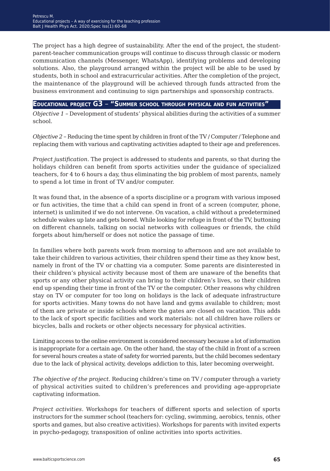The project has a high degree of sustainability. After the end of the project, the studentparent-teacher communication groups will continue to discuss through classic or modern communication channels (Messenger, WhatsApp), identifying problems and developing solutions. Also, the playground arranged within the project will be able to be used by students, both in school and extracurricular activities. After the completion of the project, the maintenance of the playground will be achieved through funds attracted from the business environment and continuing to sign partnerships and sponsorship contracts.

#### **Educational project G3** *−* **"Summer school through physical and fun activities"**

*Objective 1 −* Development of students' physical abilities during the activities of a summer school.

*Objective 2* − Reducing the time spent by children in front of the TV / Computer / Telephone and replacing them with various and captivating activities adapted to their age and preferences.

*Project justification.* The project is addressed to students and parents, so that during the holidays children can benefit from sports activities under the guidance of specialized teachers, for 4 to 6 hours a day, thus eliminating the big problem of most parents, namely to spend a lot time in front of TV and/or computer.

It was found that, in the absence of a sports discipline or a program with various imposed or fun activities, the time that a child can spend in front of a screen (computer, phone, internet) is unlimited if we do not intervene. On vacation, a child without a predetermined schedule wakes up late and gets bored. While looking for refuge in front of the TV, buttoning on different channels, talking on social networks with colleagues or friends, the child forgets about him/herself or does not notice the passage of time.

In families where both parents work from morning to afternoon and are not available to take their children to various activities, their children spend their time as they know best, namely in front of the TV or chatting via a computer. Some parents are disinterested in their children's physical activity because most of them are unaware of the benefits that sports or any other physical activity can bring to their children's lives, so their children end up spending their time in front of the TV or the computer. Other reasons why children stay on TV or computer for too long on holidays is the lack of adequate infrastructure for sports activities. Many towns do not have land and gyms available to children; most of them are private or inside schools where the gates are closed on vacation. This adds to the lack of sport specific facilities and work materials: not all children have rollers or bicycles, balls and rockets or other objects necessary for physical activities.

Limiting access to the online environment is considered necessary because a lot of information is inappropriate for a certain age. On the other hand, the stay of the child in front of a screen for several hours creates a state of safety for worried parents, but the child becomes sedentary due to the lack of physical activity, develops addiction to this, later becoming overweight.

*The objective of the project.* Reducing children's time on TV / computer through a variety of physical activities suited to children's preferences and providing age-appropriate captivating information.

*Project activities.* Workshops for teachers of different sports and selection of sports instructors for the summer school (teachers for: cycling, swimming, aerobics, tennis, other sports and games, but also creative activities). Workshops for parents with invited experts in psycho-pedagogy, transposition of online activities into sports activities.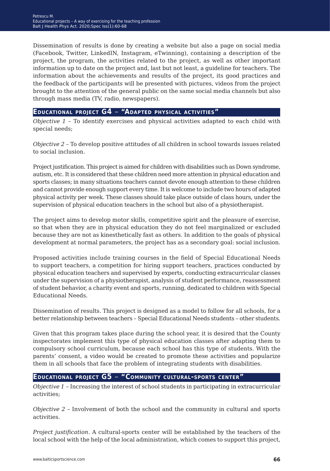Dissemination of results is done by creating a website but also a page on social media (Facebook, Twitter, LinkedIN, Instagram, eTwinning), containing a description of the project, the program, the activities related to the project, as well as other important information up to date on the project and, last but not least, a guideline for teachers. The information about the achievements and results of the project, its good practices and the feedback of the participants will be presented with pictures, videos from the project brought to the attention of the general public on the same social media channels but also through mass media (TV, radio, newspapers).

#### **Educational project G4** *−* **"Adapted physical activities"**

*Objective 1* – To identify exercises and physical activities adapted to each child with special needs;

*Objective 2* – To develop positive attitudes of all children in school towards issues related to social inclusion.

Project justification. This project is aimed for children with disabilities such as Down syndrome, autism, etc. It is considered that these children need more attention in physical education and sports classes; in many situations teachers cannot devote enough attention to these children and cannot provide enough support every time. It is welcome to include two hours of adapted physical activity per week. These classes should take place outside of class hours, under the supervision of physical education teachers in the school but also of a physiotherapist.

The project aims to develop motor skills, competitive spirit and the pleasure of exercise, so that when they are in physical education they do not feel marginalized or excluded because they are not as kinesthetically fast as others. In addition to the goals of physical development at normal parameters, the project has as a secondary goal: social inclusion.

Proposed activities include training courses in the field of Special Educational Needs to support teachers, a competition for hiring support teachers, practices conducted by physical education teachers and supervised by experts, conducting extracurricular classes under the supervision of a physiotherapist, analysis of student performance, reassessment of student behavior, a charity event and sports, running, dedicated to children with Special Educational Needs.

Dissemination of results. This project is designed as a model to follow for all schools, for a better relationship between teachers – Special Educational Needs students – other students.

Given that this program takes place during the school year, it is desired that the County inspectorates implement this type of physical education classes after adapting them to compulsory school curriculum, because each school has this type of students. With the parents' consent, a video would be created to promote these activities and popularize them in all schools that face the problem of integrating students with disabilities.

#### **Educational project G5** *−* **"Community cultural-sports center"**

*Objective 1 −* Increasing the interest of school students in participating in extracurricular activities;

*Objective 2 −* Involvement of both the school and the community in cultural and sports activities.

*Project justification.* A cultural-sports center will be established by the teachers of the local school with the help of the local administration, which comes to support this project,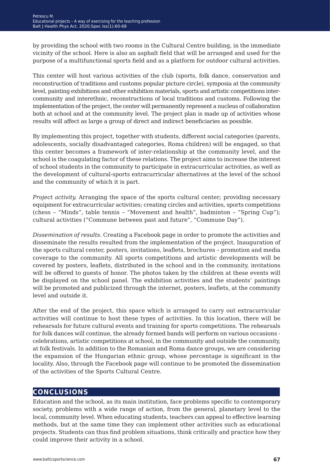by providing the school with two rooms in the Cultural Centre building, in the immediate vicinity of the school. Here is also an asphalt field that will be arranged and used for the purpose of a multifunctional sports field and as a platform for outdoor cultural activities.

This center will host various activities of the club (sports, folk dance, conservation and reconstruction of traditions and customs popular picture circle), symposia at the community level, painting exhibitions and other exhibition materials, sports and artistic competitions intercommunity and interethnic, reconstructions of local traditions and customs. Following the implementation of the project, the center will permanently represent a nucleus of collaboration both at school and at the community level. The project plan is made up of activities whose results will affect as large a group of direct and indirect beneficiaries as possible.

By implementing this project, together with students, different social categories (parents, adolescents, socially disadvantaged categories, Roma children) will be engaged, so that this center becomes a framework of inter-relationship at the community level, and the school is the coagulating factor of these relations. The project aims to increase the interest of school students in the community to participate in extracurricular activities, as well as the development of cultural-sports extracurricular alternatives at the level of the school and the community of which it is part.

*Project activity.* Arranging the space of the sports cultural center; providing necessary equipment for extracurricular activities; creating circles and activities, sports competitions (chess *−* "Minds", table tennis *−* "Movement and health", badminton *−* "Spring Cup"); cultural activities ("Commune between past and future", "Commune Day").

*Dissemination of results.* Creating a Facebook page in order to promote the activities and disseminate the results resulted from the implementation of the project. Inauguration of the sports cultural center, posters, invitations, leaflets, brochures *−* promotion and media coverage to the community. All sports competitions and artistic developments will be covered by posters, leaflets, distributed in the school and in the community, invitations will be offered to guests of honor. The photos taken by the children at these events will be displayed on the school panel. The exhibition activities and the students' paintings will be promoted and publicized through the internet, posters, leaflets, at the community level and outside it.

After the end of the project, this space which is arranged to carry out extracurricular activities will continue to host these types of activities. In this location, there will be rehearsals for future cultural events and training for sports competitions. The rehearsals for folk dances will continue, the already formed bands will perform on various occasions celebrations, artistic competitions at school, in the community and outside the community, at folk festivals. In addition to the Romanian and Roma dance groups, we are considering the expansion of the Hungarian ethnic group, whose percentage is significant in the locality. Also, through the Facebook page will continue to be promoted the dissemination of the activities of the Sports Cultural Centre.

#### **conclusions**

Education and the school, as its main institution, face problems specific to contemporary society, problems with a wide range of action, from the general, planetary level to the local, community level. When educating students, teachers can appeal to effective learning methods, but at the same time they can implement other activities such as educational projects. Students can thus find problem situations, think critically and practice how they could improve their activity in a school.